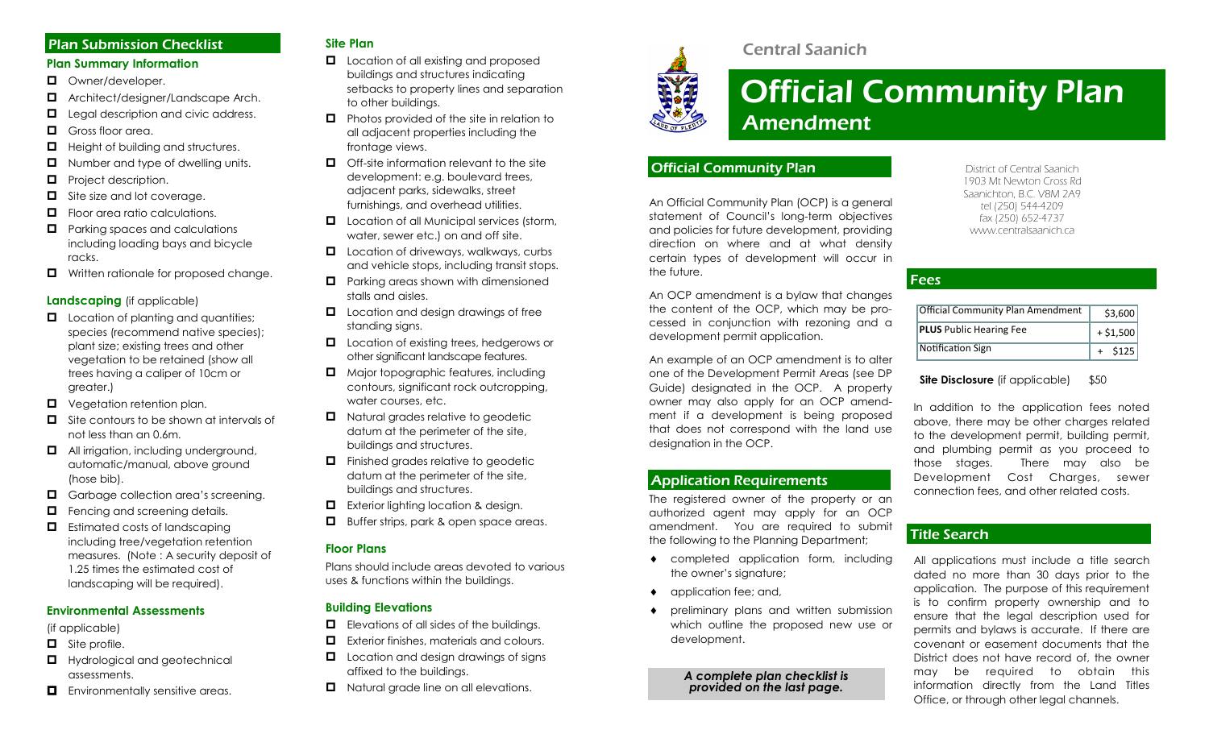## Plan Submission Checklist

### **Plan Summary Information**

- **D** Owner/developer.
- Architect/designer/Landscape Arch.
- $\Box$  Legal description and civic address.
- $\Box$  Gross floor area.
- $\Box$  Height of building and structures.
- $\Box$  Number and type of dwelling units.
- $\Box$  Project description.
- $\Box$  Site size and lot coverage.
- $\Box$  Floor area ratio calculations.
- $\Box$  Parking spaces and calculations including loading bays and bicycle racks.
- $\Box$  Written rationale for proposed change.

#### **Landscaping** (if applicable)

- $\Box$  Location of planting and quantities; species (recommend native species); plant size; existing trees and other vegetation to be retained (show all trees having a caliper of 10cm or greater.)
- $\Box$  Vegetation retention plan.
- $\Box$  Site contours to be shown at intervals of not less than an 0.6m.
- $\Box$  All irrigation, including underground, automatic/manual, above ground (hose bib).
- Garbage collection area's screening.
- $\Box$  Fencing and screening details.
- $\Box$  Estimated costs of landscaping including tree/vegetation retention measures. (Note : A security deposit of 1.25 times the estimated cost of landscaping will be required).

## **Environmental Assessments**

(if applicable)

- $\Box$  Site profile.
- $\Box$  Hydrological and geotechnical assessments.
- **E** Environmentally sensitive areas.

## **Site Plan**

- **L** Location of all existing and proposed buildings and structures indicating setbacks to property lines and separation to other buildings.
- $\Box$  Photos provided of the site in relation to all adjacent properties including the frontage views.
- $\Box$  Off-site information relevant to the site development: e.g. boulevard trees, adjacent parks, sidewalks, street furnishings, and overhead utilities.
- **Lacation of all Municipal services (storm,** water, sewer etc.) on and off site.
- $\Box$  Location of driveways, walkways, curbs and vehicle stops, including transit stops.
- $\Box$  Parking areas shown with dimensioned stalls and aisles.
- $\Box$  Location and design drawings of free standing signs.
- **L** Location of existing trees, hedgerows or other significant landscape features.
- $\Box$  Major topographic features, including contours, significant rock outcropping, water courses, etc.
- $\Box$  Natural grades relative to geodetic datum at the perimeter of the site, buildings and structures.
- $\Box$  Finished grades relative to geodetic datum at the perimeter of the site, buildings and structures.
- **EXTERENGE EXTERIOR I** Exterior lighting location & design.
- **Buffer strips, park & open space areas.**

## **Floor Plans**

Plans should include areas devoted to various uses & functions within the buildings.

## **Building Elevations**

- $\Box$  Elevations of all sides of the buildings.
- **E** Exterior finishes, materials and colours.
- **L** Location and design drawings of signs affixed to the buildings.
- $\Box$  Natural grade line on all elevations.



## Central Saanich

# Official Community Plan Amendment

## Official Community Plan

An Official Community Plan (OCP) is a general statement of Council's long-term objectives and policies for future development, providing direction on where and at what density certain types of development will occur in the future.

An OCP amendment is a bylaw that changes the content of the OCP, which may be processed in conjunction with rezoning and a development permit application.

An example of an OCP amendment is to alter one of the Development Permit Areas (see DP Guide) designated in the OCP. A property owner may also apply for an OCP amendment if a development is being proposed that does not correspond with the land use designation in the OCP.

## Application Requirements

The registered owner of the property or an authorized agent may apply for an OCP amendment. You are required to submit the following to the Planning Department;

- completed application form, including the owner's signature;
- application fee; and,
- preliminary plans and written submission which outline the proposed new use or development.

#### *A complete plan checklist is provided on the last page.*

District of Central Saanich 1903 Mt Newton Cross Rd Saanichton, B.C. V8M 2A9 tel (250) 544-4209 fax (250) 652-4737 www.centralsaanich.ca

## **Fees**

| <b>Official Community Plan Amendment</b> | \$3.600    |
|------------------------------------------|------------|
| <b>PLUS</b> Public Hearing Fee           | $+ $1,500$ |
| Notification Sign                        | \$125      |

**Site Disclosure** (if applicable) \$50

In addition to the application fees noted above, there may be other charges related to the development permit, building permit, and plumbing permit as you proceed to those stages. There may also be Development Cost Charges, sewer connection fees, and other related costs.

## Title Search

All applications must include a title search dated no more than 30 days prior to the application. The purpose of this requirement is to confirm property ownership and to ensure that the legal description used for permits and bylaws is accurate. If there are covenant or easement documents that the District does not have record of, the owner may be required to obtain this information directly from the Land Titles Office, or through other legal channels.